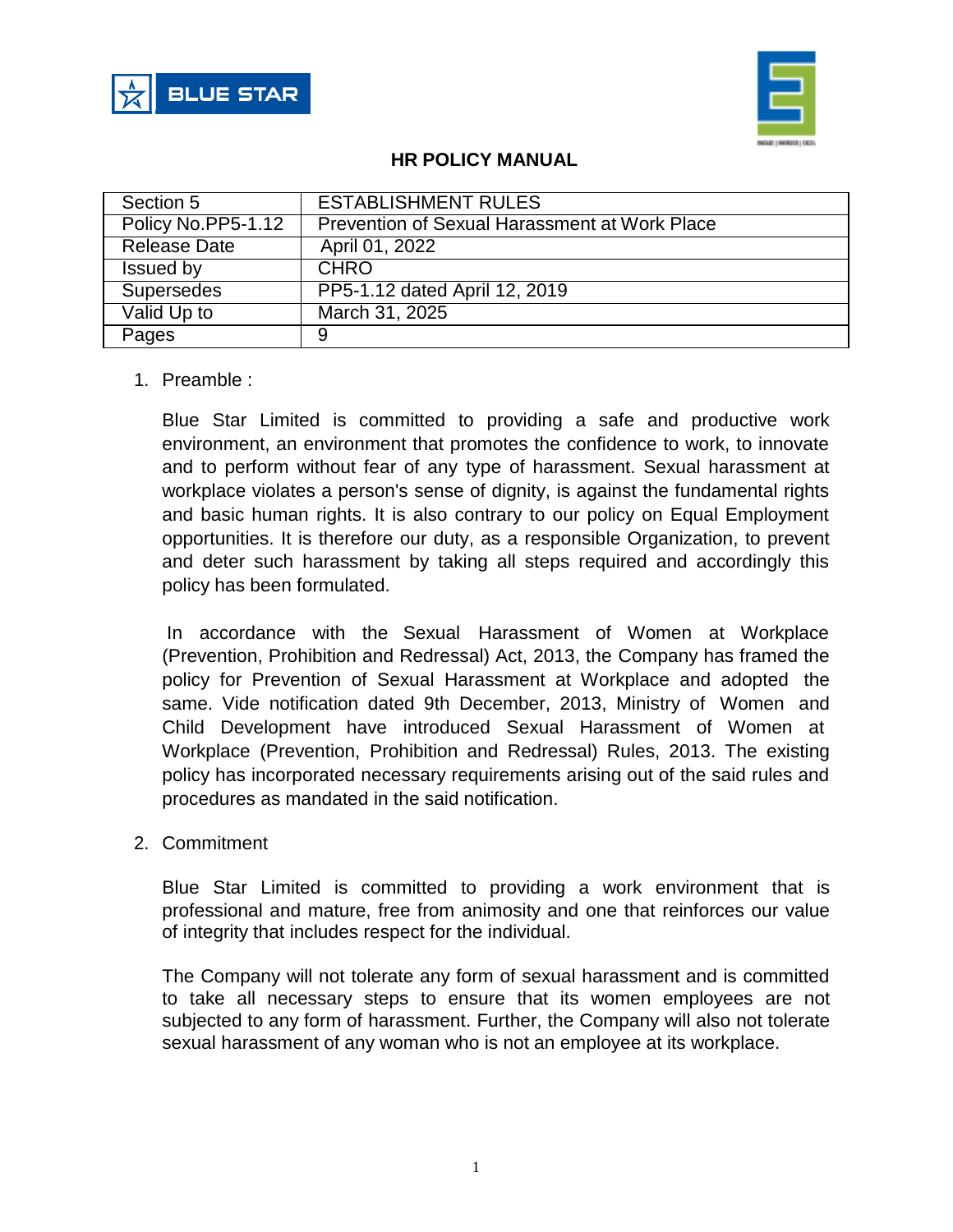



## **HR POLICY MANUAL**

| Section 5           | <b>ESTABLISHMENT RULES</b>                    |
|---------------------|-----------------------------------------------|
| Policy No.PP5-1.12  | Prevention of Sexual Harassment at Work Place |
| <b>Release Date</b> | April 01, 2022                                |
| Issued by           | <b>CHRO</b>                                   |
| <b>Supersedes</b>   | PP5-1.12 dated April 12, 2019                 |
| Valid Up to         | March 31, 2025                                |
| Pages               | 9                                             |

### 1. Preamble :

Blue Star Limited is committed to providing a safe and productive work environment, an environment that promotes the confidence to work, to innovate and to perform without fear of any type of harassment. Sexual harassment at workplace violates a person's sense of dignity, is against the fundamental rights and basic human rights. It is also contrary to our policy on Equal Employment opportunities. It is therefore our duty, as a responsible Organization, to prevent and deter such harassment by taking all steps required and accordingly this policy has been formulated.

In accordance with the Sexual Harassment of Women at Workplace (Prevention, Prohibition and Redressal) Act, 2013, the Company has framed the policy for Prevention of Sexual Harassment at Workplace and adopted the same. Vide notification dated 9th December, 2013, Ministry of Women and Child Development have introduced Sexual Harassment of Women at Workplace (Prevention, Prohibition and Redressal) Rules, 2013. The existing policy has incorporated necessary requirements arising out of the said rules and procedures as mandated in the said notification.

#### 2. Commitment

Blue Star Limited is committed to providing a work environment that is professional and mature, free from animosity and one that reinforces our value of integrity that includes respect for the individual.

The Company will not tolerate any form of sexual harassment and is committed to take all necessary steps to ensure that its women employees are not subjected to any form of harassment. Further, the Company will also not tolerate sexual harassment of any woman who is not an employee at its workplace.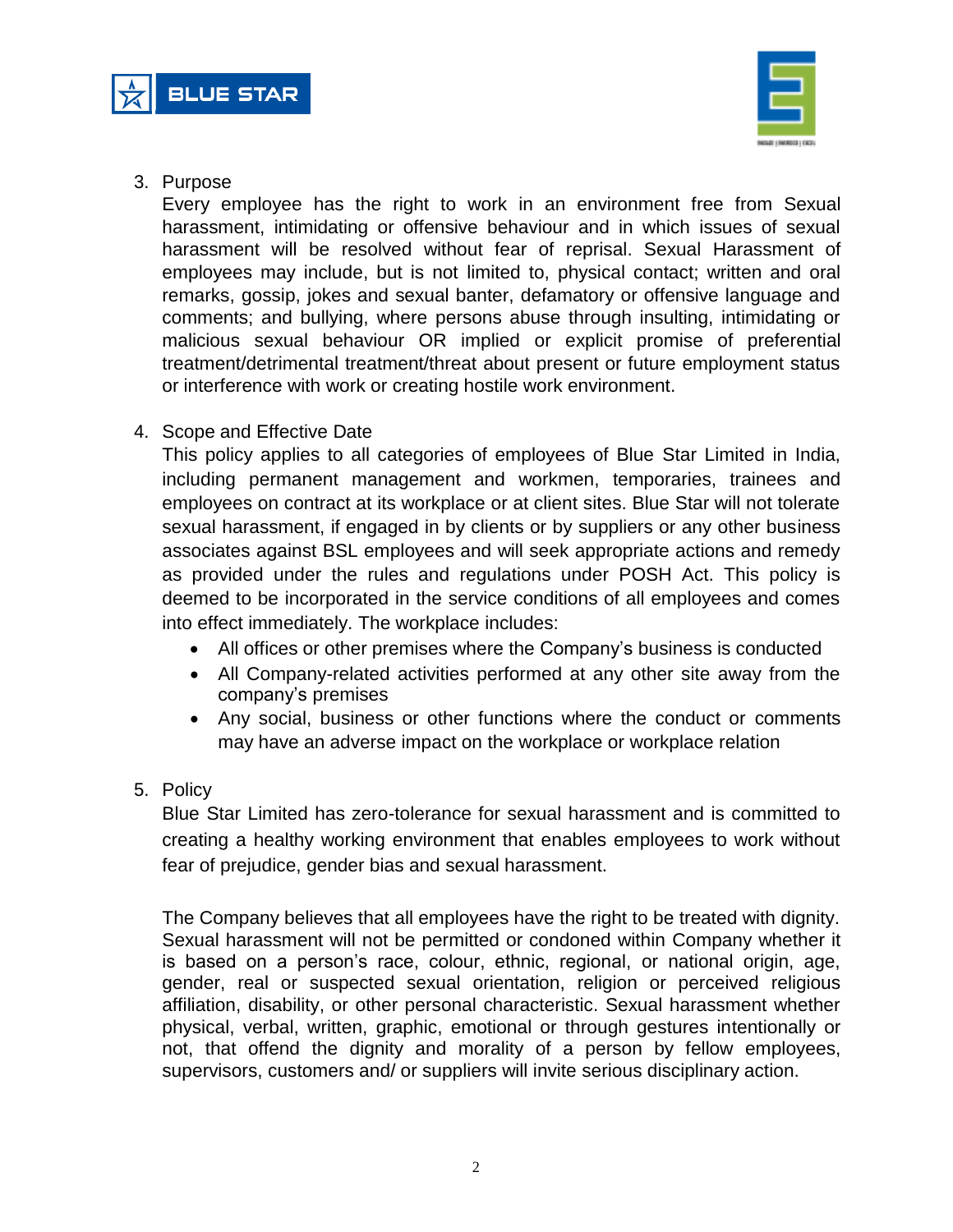



3. Purpose

Every employee has the right to work in an environment free from Sexual harassment, intimidating or offensive behaviour and in which issues of sexual harassment will be resolved without fear of reprisal. Sexual Harassment of employees may include, but is not limited to, physical contact; written and oral remarks, gossip, jokes and sexual banter, defamatory or offensive language and comments; and bullying, where persons abuse through insulting, intimidating or malicious sexual behaviour OR implied or explicit promise of preferential treatment/detrimental treatment/threat about present or future employment status or interference with work or creating hostile work environment.

4. Scope and Effective Date

This policy applies to all categories of employees of Blue Star Limited in India, including permanent management and workmen, temporaries, trainees and employees on contract at its workplace or at client sites. Blue Star will not tolerate sexual harassment, if engaged in by clients or by suppliers or any other business associates against BSL employees and will seek appropriate actions and remedy as provided under the rules and regulations under POSH Act. This policy is deemed to be incorporated in the service conditions of all employees and comes into effect immediately. The workplace includes:

- All offices or other premises where the Company's business is conducted
- All Company-related activities performed at any other site away from the company's premises
- Any social, business or other functions where the conduct or comments may have an adverse impact on the workplace or workplace relation
- 5. Policy

Blue Star Limited has zero-tolerance for sexual harassment and is committed to creating a healthy working environment that enables employees to work without fear of prejudice, gender bias and sexual harassment.

The Company believes that all employees have the right to be treated with dignity. Sexual harassment will not be permitted or condoned within Company whether it is based on a person's race, colour, ethnic, regional, or national origin, age, gender, real or suspected sexual orientation, religion or perceived religious affiliation, disability, or other personal characteristic. Sexual harassment whether physical, verbal, written, graphic, emotional or through gestures intentionally or not, that offend the dignity and morality of a person by fellow employees, supervisors, customers and/ or suppliers will invite serious disciplinary action.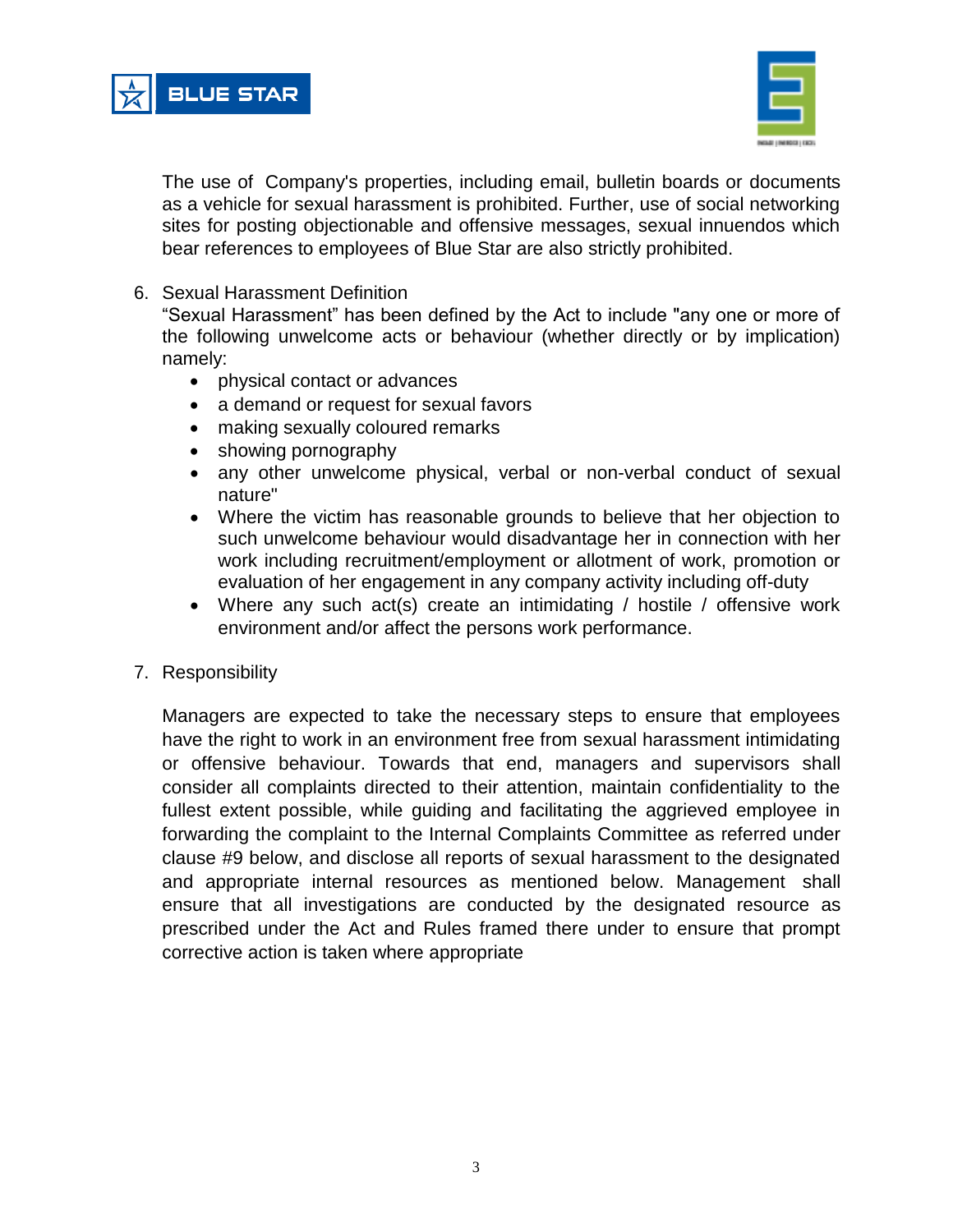



The use of Company's properties, including email, bulletin boards or documents as a vehicle for sexual harassment is prohibited. Further, use of social networking sites for posting objectionable and offensive messages, sexual innuendos which bear references to employees of Blue Star are also strictly prohibited.

6. Sexual Harassment Definition

"Sexual Harassment" has been defined by the Act to include "any one or more of the following unwelcome acts or behaviour (whether directly or by implication) namely:

- physical contact or advances
- a demand or request for sexual favors
- making sexually coloured remarks
- showing pornography
- any other unwelcome physical, verbal or non-verbal conduct of sexual nature"
- Where the victim has reasonable grounds to believe that her objection to such unwelcome behaviour would disadvantage her in connection with her work including recruitment/employment or allotment of work, promotion or evaluation of her engagement in any company activity including off-duty
- Where any such act(s) create an intimidating / hostile / offensive work environment and/or affect the persons work performance.
- 7. Responsibility

Managers are expected to take the necessary steps to ensure that employees have the right to work in an environment free from sexual harassment intimidating or offensive behaviour. Towards that end, managers and supervisors shall consider all complaints directed to their attention, maintain confidentiality to the fullest extent possible, while guiding and facilitating the aggrieved employee in forwarding the complaint to the Internal Complaints Committee as referred under clause #9 below, and disclose all reports of sexual harassment to the designated and appropriate internal resources as mentioned below. Management shall ensure that all investigations are conducted by the designated resource as prescribed under the Act and Rules framed there under to ensure that prompt corrective action is taken where appropriate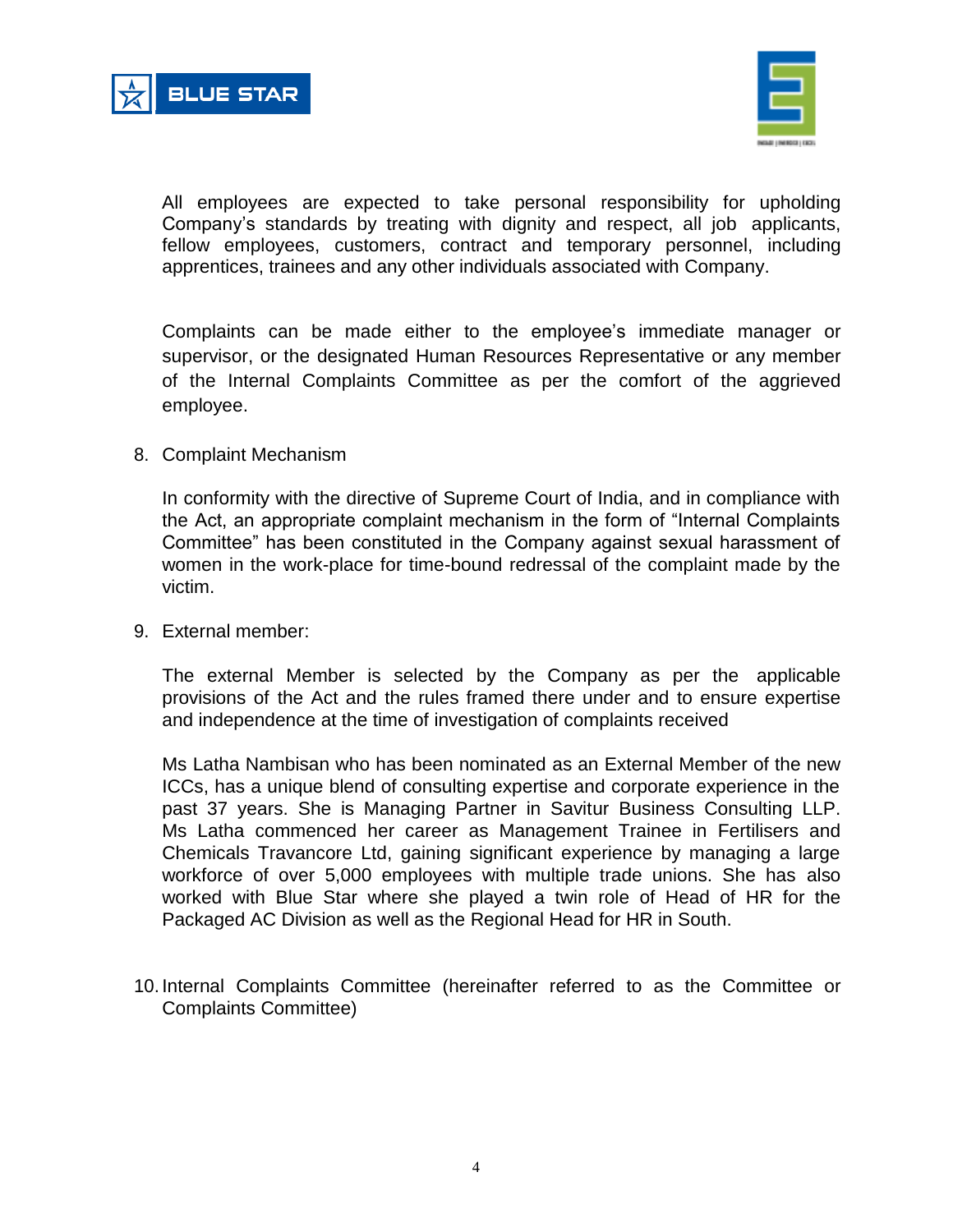



All employees are expected to take personal responsibility for upholding Company's standards by treating with dignity and respect, all job applicants, fellow employees, customers, contract and temporary personnel, including apprentices, trainees and any other individuals associated with Company.

Complaints can be made either to the employee's immediate manager or supervisor, or the designated Human Resources Representative or any member of the Internal Complaints Committee as per the comfort of the aggrieved employee.

#### 8. Complaint Mechanism

In conformity with the directive of Supreme Court of India, and in compliance with the Act, an appropriate complaint mechanism in the form of "Internal Complaints Committee" has been constituted in the Company against sexual harassment of women in the work-place for time-bound redressal of the complaint made by the victim.

9. External member:

The external Member is selected by the Company as per the applicable provisions of the Act and the rules framed there under and to ensure expertise and independence at the time of investigation of complaints received

Ms Latha Nambisan who has been nominated as an External Member of the new ICCs, has a unique blend of consulting expertise and corporate experience in the past 37 years. She is Managing Partner in Savitur Business Consulting LLP. Ms Latha commenced her career as Management Trainee in Fertilisers and Chemicals Travancore Ltd, gaining significant experience by managing a large workforce of over 5,000 employees with multiple trade unions. She has also worked with Blue Star where she played a twin role of Head of HR for the Packaged AC Division as well as the Regional Head for HR in South.

10. Internal Complaints Committee (hereinafter referred to as the Committee or Complaints Committee)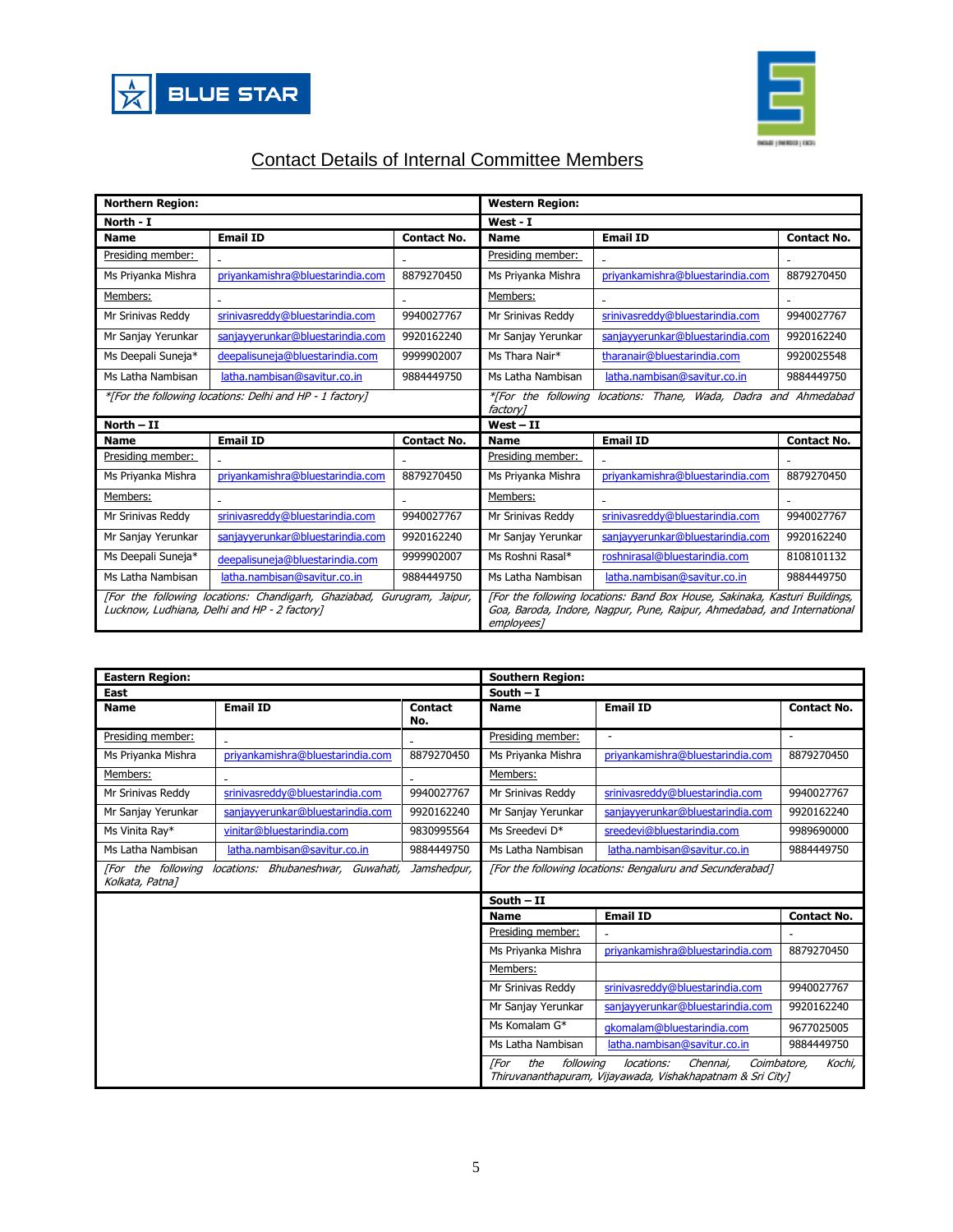



# Contact Details of Internal Committee Members

| <b>Northern Region:</b>                                                                                                |                                  |                                                                                                                                                                     | <b>Western Region:</b> |                                  |                    |
|------------------------------------------------------------------------------------------------------------------------|----------------------------------|---------------------------------------------------------------------------------------------------------------------------------------------------------------------|------------------------|----------------------------------|--------------------|
| North - I                                                                                                              |                                  |                                                                                                                                                                     | West - I               |                                  |                    |
| <b>Name</b>                                                                                                            | <b>Email ID</b>                  | <b>Contact No.</b>                                                                                                                                                  | <b>Name</b>            | <b>Email ID</b>                  | <b>Contact No.</b> |
| Presiding member:                                                                                                      |                                  |                                                                                                                                                                     | Presiding member:      |                                  |                    |
| Ms Priyanka Mishra                                                                                                     | priyankamishra@bluestarindia.com | 8879270450                                                                                                                                                          | Ms Priyanka Mishra     | priyankamishra@bluestarindia.com | 8879270450         |
| Members:                                                                                                               |                                  |                                                                                                                                                                     | Members:               | $\sim$                           |                    |
| Mr Srinivas Reddy                                                                                                      | srinivasreddy@bluestarindia.com  | 9940027767                                                                                                                                                          | Mr Srinivas Reddy      | srinivasreddy@bluestarindia.com  | 9940027767         |
| Mr Sanjay Yerunkar                                                                                                     | sanjayyerunkar@bluestarindia.com | 9920162240                                                                                                                                                          | Mr Sanjay Yerunkar     | sanjayyerunkar@bluestarindia.com | 9920162240         |
| Ms Deepali Suneja*                                                                                                     | deepalisuneja@bluestarindia.com  | 9999902007                                                                                                                                                          | Ms Thara Nair*         | tharanair@bluestarindia.com      | 9920025548         |
| Ms Latha Nambisan                                                                                                      | latha.nambisan@savitur.co.in     | 9884449750                                                                                                                                                          | Ms Latha Nambisan      | latha.nambisan@savitur.co.in     | 9884449750         |
| *[For the following locations: Delhi and HP - 1 factory]                                                               |                                  | *[For the following locations: Thane, Wada, Dadra and Ahmedabad<br>factory]                                                                                         |                        |                                  |                    |
| North - II                                                                                                             |                                  |                                                                                                                                                                     | $West - II$            |                                  |                    |
| <b>Name</b>                                                                                                            | <b>Email ID</b>                  | <b>Contact No.</b>                                                                                                                                                  | <b>Name</b>            | <b>Email ID</b>                  | <b>Contact No.</b> |
| Presiding member:                                                                                                      |                                  |                                                                                                                                                                     | Presiding member:      |                                  |                    |
| Ms Priyanka Mishra                                                                                                     | priyankamishra@bluestarindia.com | 8879270450                                                                                                                                                          | Ms Priyanka Mishra     | priyankamishra@bluestarindia.com | 8879270450         |
| Members:                                                                                                               |                                  |                                                                                                                                                                     | Members:               |                                  |                    |
| Mr Srinivas Reddy                                                                                                      | srinivasreddy@bluestarindia.com  | 9940027767                                                                                                                                                          | Mr Srinivas Reddy      | srinivasreddy@bluestarindia.com  | 9940027767         |
| Mr Sanjay Yerunkar                                                                                                     | sanjayyerunkar@bluestarindia.com | 9920162240                                                                                                                                                          | Mr Sanjay Yerunkar     | sanjayyerunkar@bluestarindia.com | 9920162240         |
| Ms Deepali Suneja*                                                                                                     | deepalisuneja@bluestarindia.com  | 9999902007                                                                                                                                                          | Ms Roshni Rasal*       | roshnirasal@bluestarindia.com    | 8108101132         |
| Ms Latha Nambisan                                                                                                      | latha.nambisan@savitur.co.in     | 9884449750                                                                                                                                                          | Ms Latha Nambisan      | latha.nambisan@savitur.co.in     | 9884449750         |
| [For the following locations: Chandigarh, Ghaziabad, Gurugram, Jaipur,<br>Lucknow, Ludhiana, Delhi and HP - 2 factory] |                                  | [For the following locations: Band Box House, Sakinaka, Kasturi Buildings,<br>Goa, Baroda, Indore, Nagpur, Pune, Raipur, Ahmedabad, and International<br>employees] |                        |                                  |                    |

| <b>Eastern Region:</b>                                                                     |                                  |                                                           | <b>Southern Region:</b> |                                                                                                     |                          |
|--------------------------------------------------------------------------------------------|----------------------------------|-----------------------------------------------------------|-------------------------|-----------------------------------------------------------------------------------------------------|--------------------------|
| East                                                                                       |                                  |                                                           | South $-1$              |                                                                                                     |                          |
| <b>Name</b>                                                                                | <b>Email ID</b>                  | <b>Contact</b><br>No.                                     | <b>Name</b>             | <b>Email ID</b>                                                                                     | <b>Contact No.</b>       |
| Presiding member:                                                                          |                                  |                                                           | Presiding member:       | $\overline{\phantom{a}}$                                                                            | $\overline{\phantom{a}}$ |
| Ms Priyanka Mishra                                                                         | priyankamishra@bluestarindia.com | 8879270450                                                | Ms Priyanka Mishra      | priyankamishra@bluestarindia.com                                                                    | 8879270450               |
| Members:                                                                                   |                                  |                                                           | Members:                |                                                                                                     |                          |
| Mr Srinivas Reddy                                                                          | srinivasreddy@bluestarindia.com  | 9940027767                                                | Mr Srinivas Reddy       | srinivasreddy@bluestarindia.com                                                                     | 9940027767               |
| Mr Sanjay Yerunkar                                                                         | sanjayyerunkar@bluestarindia.com | 9920162240                                                | Mr Sanjay Yerunkar      | sanjayyerunkar@bluestarindia.com                                                                    | 9920162240               |
| Ms Vinita Ray*                                                                             | vinitar@bluestarindia.com        | 9830995564                                                | Ms Sreedevi D*          | sreedevi@bluestarindia.com                                                                          | 9989690000               |
| Ms Latha Nambisan                                                                          | latha.nambisan@savitur.co.in     | 9884449750                                                | Ms Latha Nambisan       | latha.nambisan@savitur.co.in                                                                        | 9884449750               |
| [For the following<br>locations: Bhubaneshwar, Guwahati,<br>Jamshedpur,<br>Kolkata, Patna] |                                  | [For the following locations: Bengaluru and Secunderabad] |                         |                                                                                                     |                          |
|                                                                                            |                                  |                                                           | South $-$ II            |                                                                                                     |                          |
|                                                                                            |                                  |                                                           | <b>Name</b>             | <b>Email ID</b>                                                                                     | <b>Contact No.</b>       |
|                                                                                            |                                  |                                                           | Presiding member:       |                                                                                                     |                          |
|                                                                                            |                                  |                                                           | Ms Priyanka Mishra      | priyankamishra@bluestarindia.com                                                                    | 8879270450               |
|                                                                                            |                                  |                                                           | Members:                |                                                                                                     |                          |
|                                                                                            |                                  |                                                           | Mr Srinivas Reddy       | srinivasreddy@bluestarindia.com                                                                     | 9940027767               |
|                                                                                            |                                  |                                                           | Mr Sanjay Yerunkar      | sanjavverunkar@bluestarindia.com                                                                    | 9920162240               |
|                                                                                            |                                  |                                                           | Ms Komalam G*           | qkomalam@bluestarindia.com                                                                          | 9677025005               |
|                                                                                            |                                  |                                                           | Ms Latha Nambisan       | latha.nambisan@savitur.co.in                                                                        | 9884449750               |
| the<br>following<br><b>For</b>                                                             |                                  |                                                           |                         | locations:<br>Chennai,<br>Coimbatore,<br>Thiruvananthapuram, Vijayawada, Vishakhapatnam & Sri City] | Kochi,                   |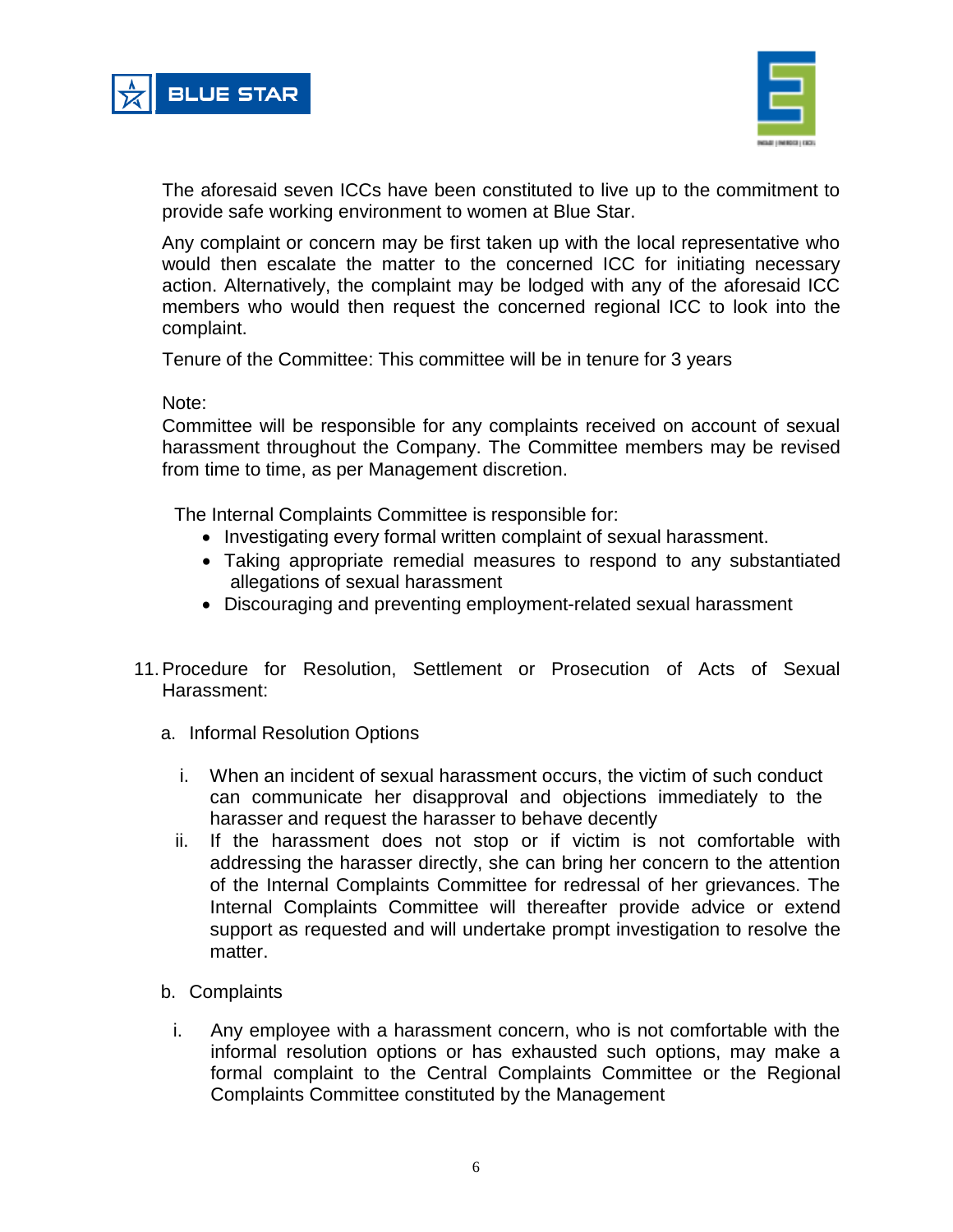



The aforesaid seven ICCs have been constituted to live up to the commitment to provide safe working environment to women at Blue Star.

Any complaint or concern may be first taken up with the local representative who would then escalate the matter to the concerned ICC for initiating necessary action. Alternatively, the complaint may be lodged with any of the aforesaid ICC members who would then request the concerned regional ICC to look into the complaint.

Tenure of the Committee: This committee will be in tenure for 3 years

Note:

Committee will be responsible for any complaints received on account of sexual harassment throughout the Company. The Committee members may be revised from time to time, as per Management discretion.

The Internal Complaints Committee is responsible for:

- Investigating every formal written complaint of sexual harassment.
- Taking appropriate remedial measures to respond to any substantiated allegations of sexual harassment
- Discouraging and preventing employment-related sexual harassment
- 11.Procedure for Resolution, Settlement or Prosecution of Acts of Sexual Harassment:
	- a. Informal Resolution Options
		- i. When an incident of sexual harassment occurs, the victim of such conduct can communicate her disapproval and objections immediately to the harasser and request the harasser to behave decently
		- ii. If the harassment does not stop or if victim is not comfortable with addressing the harasser directly, she can bring her concern to the attention of the Internal Complaints Committee for redressal of her grievances. The Internal Complaints Committee will thereafter provide advice or extend support as requested and will undertake prompt investigation to resolve the matter.
	- b. Complaints
		- i. Any employee with a harassment concern, who is not comfortable with the informal resolution options or has exhausted such options, may make a formal complaint to the Central Complaints Committee or the Regional Complaints Committee constituted by the Management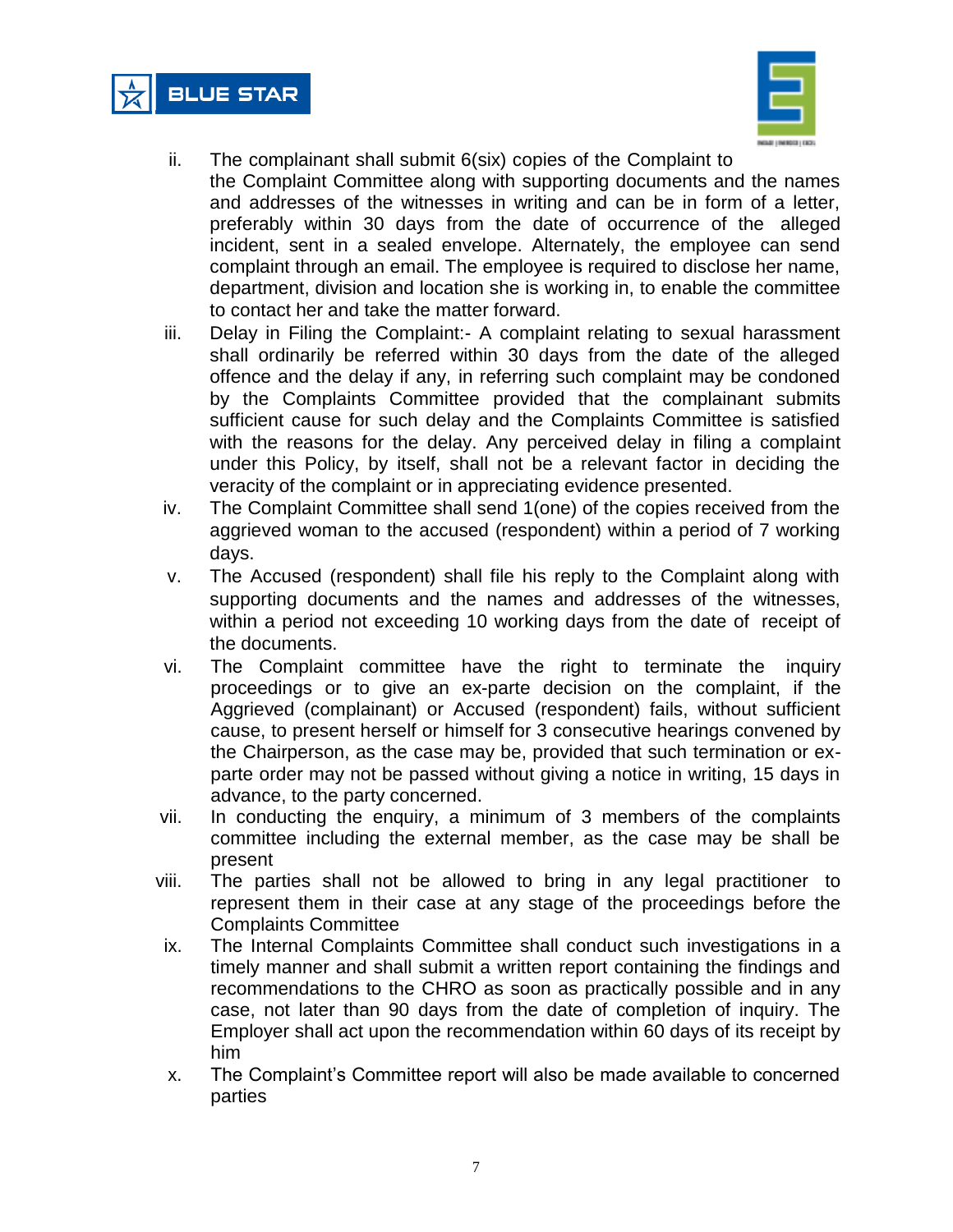



- ii. The complainant shall submit 6(six) copies of the Complaint to the Complaint Committee along with supporting documents and the names and addresses of the witnesses in writing and can be in form of a letter, preferably within 30 days from the date of occurrence of the alleged incident, sent in a sealed envelope. Alternately, the employee can send complaint through an email. The employee is required to disclose her name, department, division and location she is working in, to enable the committee to contact her and take the matter forward.
- iii. Delay in Filing the Complaint:- A complaint relating to sexual harassment shall ordinarily be referred within 30 days from the date of the alleged offence and the delay if any, in referring such complaint may be condoned by the Complaints Committee provided that the complainant submits sufficient cause for such delay and the Complaints Committee is satisfied with the reasons for the delay. Any perceived delay in filing a complaint under this Policy, by itself, shall not be a relevant factor in deciding the veracity of the complaint or in appreciating evidence presented.
- iv. The Complaint Committee shall send 1(one) of the copies received from the aggrieved woman to the accused (respondent) within a period of 7 working days.
- v. The Accused (respondent) shall file his reply to the Complaint along with supporting documents and the names and addresses of the witnesses, within a period not exceeding 10 working days from the date of receipt of the documents.
- vi. The Complaint committee have the right to terminate the inquiry proceedings or to give an ex-parte decision on the complaint, if the Aggrieved (complainant) or Accused (respondent) fails, without sufficient cause, to present herself or himself for 3 consecutive hearings convened by the Chairperson, as the case may be, provided that such termination or exparte order may not be passed without giving a notice in writing, 15 days in advance, to the party concerned.
- vii. In conducting the enquiry, a minimum of 3 members of the complaints committee including the external member, as the case may be shall be present
- viii. The parties shall not be allowed to bring in any legal practitioner to represent them in their case at any stage of the proceedings before the Complaints Committee
- ix. The Internal Complaints Committee shall conduct such investigations in a timely manner and shall submit a written report containing the findings and recommendations to the CHRO as soon as practically possible and in any case, not later than 90 days from the date of completion of inquiry. The Employer shall act upon the recommendation within 60 days of its receipt by him
- x. The Complaint's Committee report will also be made available to concerned parties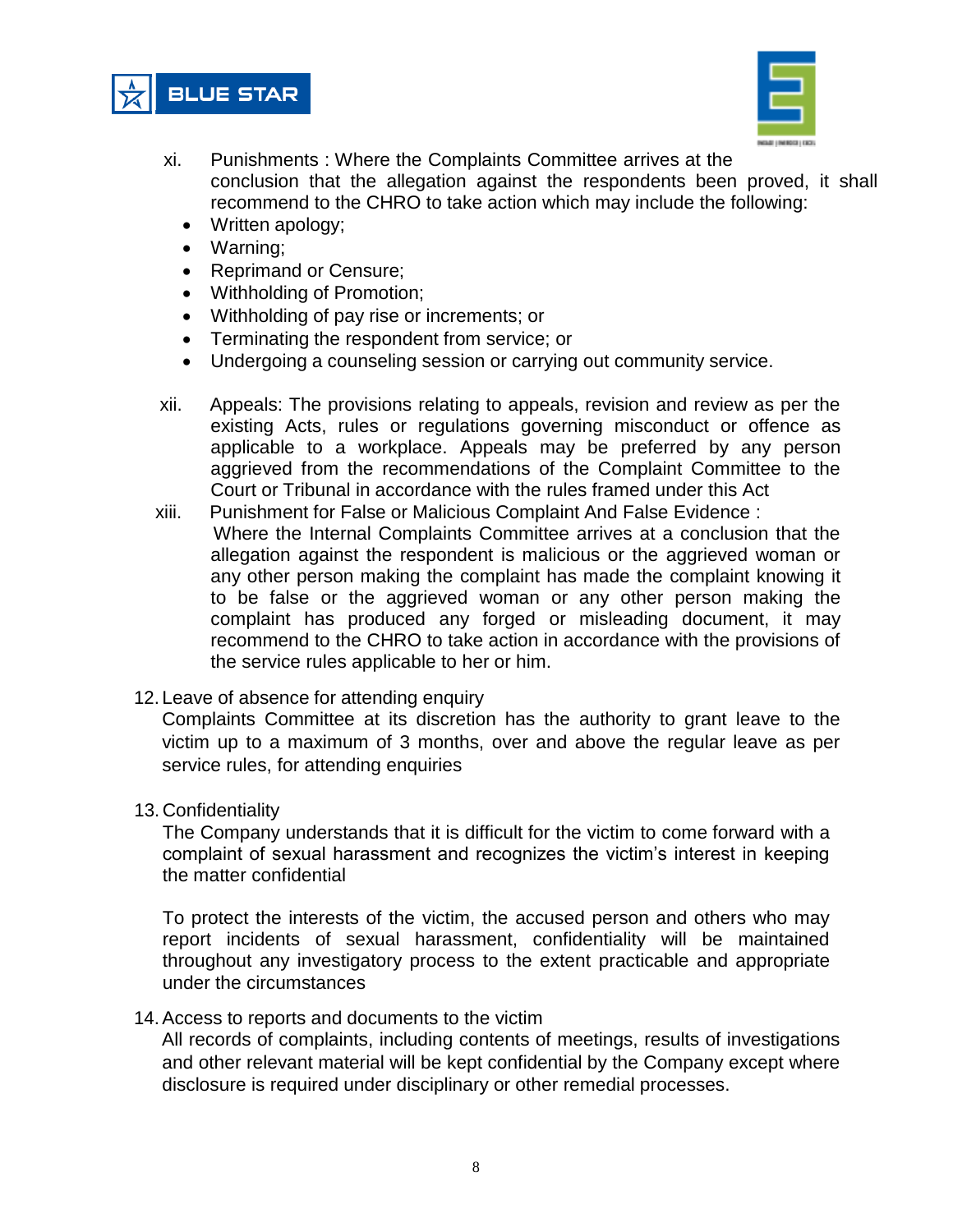



- xi. Punishments : Where the Complaints Committee arrives at the conclusion that the allegation against the respondents been proved, it shall recommend to the CHRO to take action which may include the following:
	- Written apology;
	- Warning;
	- Reprimand or Censure;
	- Withholding of Promotion;
	- Withholding of pay rise or increments; or
	- Terminating the respondent from service; or
	- Undergoing a counseling session or carrying out community service.
- xii. Appeals: The provisions relating to appeals, revision and review as per the existing Acts, rules or regulations governing misconduct or offence as applicable to a workplace. Appeals may be preferred by any person aggrieved from the recommendations of the Complaint Committee to the Court or Tribunal in accordance with the rules framed under this Act
- xiii. Punishment for False or Malicious Complaint And False Evidence : Where the Internal Complaints Committee arrives at a conclusion that the allegation against the respondent is malicious or the aggrieved woman or any other person making the complaint has made the complaint knowing it to be false or the aggrieved woman or any other person making the complaint has produced any forged or misleading document, it may recommend to the CHRO to take action in accordance with the provisions of the service rules applicable to her or him.
- 12. Leave of absence for attending enquiry

Complaints Committee at its discretion has the authority to grant leave to the victim up to a maximum of 3 months, over and above the regular leave as per service rules, for attending enquiries

13. Confidentiality

The Company understands that it is difficult for the victim to come forward with a complaint of sexual harassment and recognizes the victim's interest in keeping the matter confidential

To protect the interests of the victim, the accused person and others who may report incidents of sexual harassment, confidentiality will be maintained throughout any investigatory process to the extent practicable and appropriate under the circumstances

14.Access to reports and documents to the victim

All records of complaints, including contents of meetings, results of investigations and other relevant material will be kept confidential by the Company except where disclosure is required under disciplinary or other remedial processes.